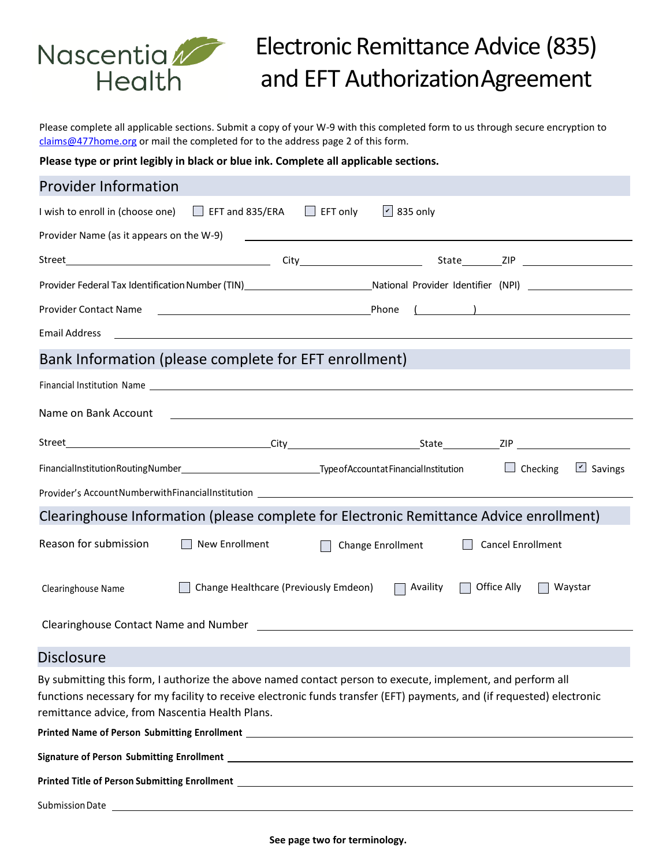

# Electronic Remittance Advice (835) and EFT AuthorizationAgreement

Please complete all applicable sections. Submit a copy of your W-9 with this completed form to us through secure encryption to [claims@477home.org](mailto:claims@477home.org) or mail the completed for to the address page 2 of this form.

**Please type or print legibly in black or blue ink. Complete all applicable sections.**

#### Provider Information

| I wish to enroll in (choose one) $\Box$ EFT and 835/ERA $\Box$ EFT only $\Box$ 835 only                                                                                                                                                                                                 |
|-----------------------------------------------------------------------------------------------------------------------------------------------------------------------------------------------------------------------------------------------------------------------------------------|
|                                                                                                                                                                                                                                                                                         |
|                                                                                                                                                                                                                                                                                         |
| Provider Federal Tax Identification Number (TIN) Mational Provider Identifier (NPI) Mational Provider Identifier (NPI)                                                                                                                                                                  |
|                                                                                                                                                                                                                                                                                         |
|                                                                                                                                                                                                                                                                                         |
| Bank Information (please complete for EFT enrollment)<br><u> 1990 - Jan Barat, martin amerikan ba</u>                                                                                                                                                                                   |
| Financial Institution Name contract to the contract of the contract of the contract of the contract of the contract of the contract of the contract of the contract of the contract of the contract of the contract of the con                                                          |
| Name on Bank Account 2012 2022 2022 2022 2023 2024 2022 2023 2024 2022 2023 2024 2022 2023 2024 2022 2023 2024                                                                                                                                                                          |
|                                                                                                                                                                                                                                                                                         |
| $\boxed{\mathsf{v}}$ Savings                                                                                                                                                                                                                                                            |
|                                                                                                                                                                                                                                                                                         |
| Clearinghouse Information (please complete for Electronic Remittance Advice enrollment)                                                                                                                                                                                                 |
| Reason for submission<br>■ New Enrollment  ■ Change Enrollment  ■ Cancel Enrollment                                                                                                                                                                                                     |
| □ Change Healthcare (Previously Emdeon) □ Availity □ Office Ally □ Waystar<br>Clearinghouse Name                                                                                                                                                                                        |
|                                                                                                                                                                                                                                                                                         |
| <b>Disclosure</b>                                                                                                                                                                                                                                                                       |
| By submitting this form, I authorize the above named contact person to execute, implement, and perform all<br>functions necessary for my facility to receive electronic funds transfer (EFT) payments, and (if requested) electronic<br>remittance advice, from Nascentia Health Plans. |
| Printed Name of Person Submitting Enrollment<br><u>Letter and the contract of the contract of the contract of the contract of the contract of the contract of the contract of the contract of the contract of the contract of th</u>                                                    |
|                                                                                                                                                                                                                                                                                         |
|                                                                                                                                                                                                                                                                                         |